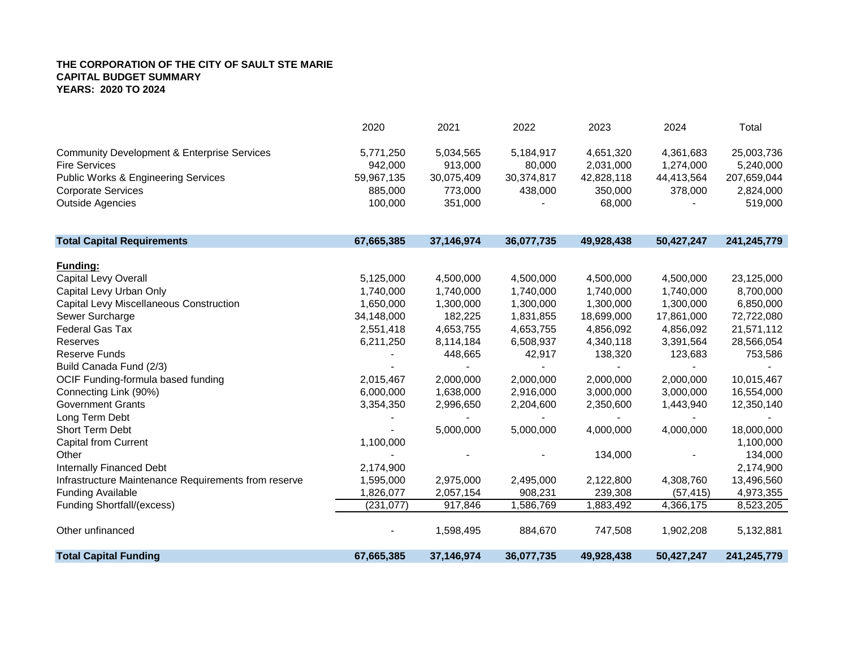|                                                        | 2020       | 2021       | 2022       | 2023       | 2024       | Total       |
|--------------------------------------------------------|------------|------------|------------|------------|------------|-------------|
| <b>Community Development &amp; Enterprise Services</b> | 5,771,250  | 5,034,565  | 5,184,917  | 4,651,320  | 4,361,683  | 25,003,736  |
| <b>Fire Services</b>                                   | 942,000    | 913,000    | 80,000     | 2,031,000  | 1,274,000  | 5,240,000   |
| <b>Public Works &amp; Engineering Services</b>         | 59,967,135 | 30,075,409 | 30,374,817 | 42,828,118 | 44,413,564 | 207,659,044 |
| <b>Corporate Services</b>                              | 885,000    | 773,000    | 438,000    | 350,000    | 378,000    | 2,824,000   |
| <b>Outside Agencies</b>                                | 100,000    | 351,000    |            | 68,000     |            | 519,000     |
| <b>Total Capital Requirements</b>                      | 67,665,385 | 37,146,974 | 36,077,735 | 49,928,438 | 50,427,247 | 241,245,779 |
| <b>Funding:</b>                                        |            |            |            |            |            |             |
| Capital Levy Overall                                   | 5,125,000  | 4,500,000  | 4,500,000  | 4,500,000  | 4,500,000  | 23,125,000  |
| Capital Levy Urban Only                                | 1,740,000  | 1,740,000  | 1,740,000  | 1,740,000  | 1,740,000  | 8,700,000   |
| Capital Levy Miscellaneous Construction                | 1,650,000  | 1,300,000  | 1,300,000  | 1,300,000  | 1,300,000  | 6,850,000   |
| Sewer Surcharge                                        | 34,148,000 | 182,225    | 1,831,855  | 18,699,000 | 17,861,000 | 72,722,080  |
| <b>Federal Gas Tax</b>                                 | 2,551,418  | 4,653,755  | 4,653,755  | 4,856,092  | 4,856,092  | 21,571,112  |
| Reserves                                               | 6,211,250  | 8,114,184  | 6,508,937  | 4,340,118  | 3,391,564  | 28,566,054  |
| <b>Reserve Funds</b>                                   |            | 448,665    | 42,917     | 138,320    | 123,683    | 753,586     |
| Build Canada Fund (2/3)                                |            |            |            |            |            |             |
| OCIF Funding-formula based funding                     | 2,015,467  | 2,000,000  | 2,000,000  | 2,000,000  | 2,000,000  | 10,015,467  |
| Connecting Link (90%)                                  | 6,000,000  | 1,638,000  | 2,916,000  | 3,000,000  | 3,000,000  | 16,554,000  |
| <b>Government Grants</b>                               | 3,354,350  | 2,996,650  | 2,204,600  | 2,350,600  | 1,443,940  | 12,350,140  |
| Long Term Debt                                         |            |            |            |            |            |             |
| Short Term Debt                                        |            | 5,000,000  | 5,000,000  | 4,000,000  | 4,000,000  | 18,000,000  |
| <b>Capital from Current</b>                            | 1,100,000  |            |            |            |            | 1,100,000   |
| Other                                                  |            |            |            | 134,000    |            | 134,000     |
| <b>Internally Financed Debt</b>                        | 2,174,900  |            |            |            |            | 2,174,900   |
| Infrastructure Maintenance Requirements from reserve   | 1,595,000  | 2,975,000  | 2,495,000  | 2,122,800  | 4,308,760  | 13,496,560  |
| <b>Funding Available</b>                               | 1,826,077  | 2,057,154  | 908,231    | 239,308    | (57, 415)  | 4,973,355   |
| Funding Shortfall/(excess)                             | (231, 077) | 917,846    | 1,586,769  | 1,883,492  | 4,366,175  | 8,523,205   |
| Other unfinanced                                       |            | 1,598,495  | 884,670    | 747,508    | 1,902,208  | 5,132,881   |
| <b>Total Capital Funding</b>                           | 67,665,385 | 37,146,974 | 36,077,735 | 49,928,438 | 50,427,247 | 241,245,779 |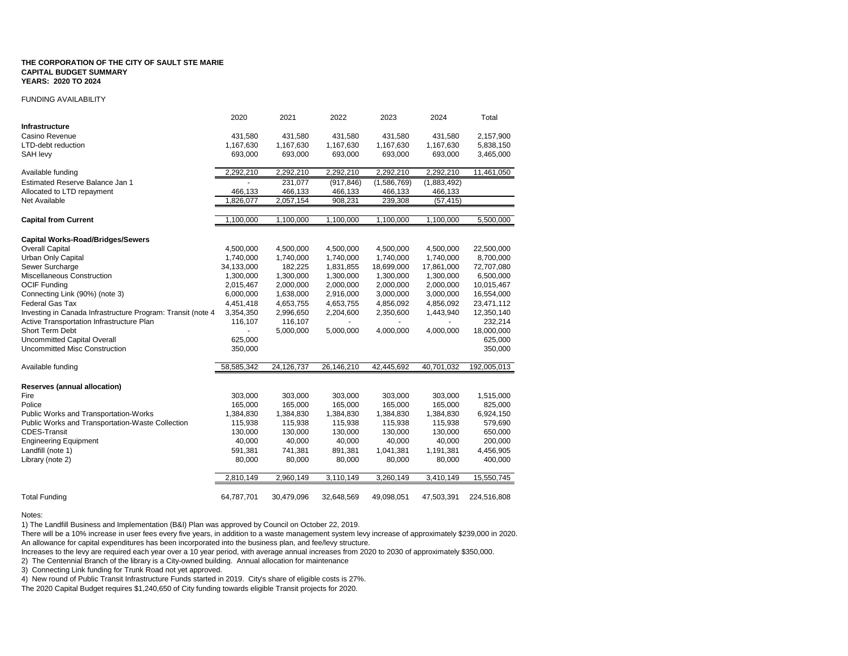#### FUNDING AVAILABILITY

|                                                             | 2020       | 2021       | 2022       | 2023        | 2024        | Total       |
|-------------------------------------------------------------|------------|------------|------------|-------------|-------------|-------------|
| Infrastructure                                              |            |            |            |             |             |             |
| Casino Revenue                                              | 431,580    | 431,580    | 431,580    | 431,580     | 431,580     | 2,157,900   |
| LTD-debt reduction                                          | 1,167,630  | 1,167,630  | 1,167,630  | 1,167,630   | 1,167,630   | 5,838,150   |
| SAH levy                                                    | 693,000    | 693,000    | 693,000    | 693,000     | 693,000     | 3,465,000   |
| Available funding                                           | 2,292,210  | 2,292,210  | 2,292,210  | 2,292,210   | 2,292,210   | 11,461,050  |
| Estimated Reserve Balance Jan 1                             |            | 231,077    | (917, 846) | (1,586,769) | (1,883,492) |             |
| Allocated to LTD repayment                                  | 466,133    | 466,133    | 466,133    | 466,133     | 466,133     |             |
| <b>Net Available</b>                                        | 1,826,077  | 2,057,154  | 908,231    | 239,308     | (57, 415)   |             |
| <b>Capital from Current</b>                                 | 1,100,000  | 1,100,000  | 1,100,000  | 1,100,000   | 1,100,000   | 5,500,000   |
| <b>Capital Works-Road/Bridges/Sewers</b>                    |            |            |            |             |             |             |
| <b>Overall Capital</b>                                      | 4,500,000  | 4,500,000  | 4,500,000  | 4,500,000   | 4,500,000   | 22,500,000  |
| Urban Only Capital                                          | 1,740,000  | 1,740,000  | 1,740,000  | 1,740,000   | 1,740,000   | 8,700,000   |
| Sewer Surcharge                                             | 34,133,000 | 182,225    | 1,831,855  | 18,699,000  | 17,861,000  | 72,707,080  |
| Miscellaneous Construction                                  | 1,300,000  | 1,300,000  | 1,300,000  | 1,300,000   | 1,300,000   | 6,500,000   |
| <b>OCIF Funding</b>                                         | 2,015,467  | 2,000,000  | 2,000,000  | 2,000,000   | 2,000,000   | 10,015,467  |
| Connecting Link (90%) (note 3)                              | 6,000,000  | 1,638,000  | 2,916,000  | 3,000,000   | 3,000,000   | 16,554,000  |
| <b>Federal Gas Tax</b>                                      | 4,451,418  | 4,653,755  | 4,653,755  | 4,856,092   | 4,856,092   | 23,471,112  |
| Investing in Canada Infrastructure Program: Transit (note 4 | 3,354,350  | 2,996,650  | 2,204,600  | 2,350,600   | 1,443,940   | 12,350,140  |
| Active Transportation Infrastructure Plan                   | 116,107    | 116,107    |            |             |             | 232,214     |
| Short Term Debt                                             |            | 5,000,000  | 5,000,000  | 4,000,000   | 4,000,000   | 18,000,000  |
| Uncommitted Capital Overall                                 | 625,000    |            |            |             |             | 625,000     |
| Uncommitted Misc Construction                               | 350,000    |            |            |             |             | 350,000     |
| Available funding                                           | 58,585,342 | 24,126,737 | 26,146,210 | 42,445,692  | 40,701,032  | 192,005,013 |
| <b>Reserves (annual allocation)</b>                         |            |            |            |             |             |             |
| Fire                                                        | 303,000    | 303,000    | 303,000    | 303,000     | 303,000     | 1,515,000   |
| Police                                                      | 165,000    | 165,000    | 165,000    | 165,000     | 165,000     | 825,000     |
| Public Works and Transportation-Works                       | 1,384,830  | 1,384,830  | 1,384,830  | 1,384,830   | 1,384,830   | 6,924,150   |
| Public Works and Transportation-Waste Collection            | 115,938    | 115,938    | 115,938    | 115,938     | 115,938     | 579,690     |
| <b>CDES-Transit</b>                                         | 130,000    | 130,000    | 130,000    | 130,000     | 130,000     | 650,000     |
| <b>Engineering Equipment</b>                                | 40,000     | 40,000     | 40,000     | 40,000      | 40,000      | 200,000     |
| Landfill (note 1)                                           | 591,381    | 741,381    | 891,381    | 1,041,381   | 1,191,381   | 4,456,905   |
| Library (note 2)                                            | 80,000     | 80,000     | 80,000     | 80,000      | 80,000      | 400,000     |
|                                                             | 2,810,149  | 2,960,149  | 3,110,149  | 3,260,149   | 3,410,149   | 15,550,745  |
|                                                             |            |            |            |             |             |             |
| <b>Total Funding</b>                                        | 64,787,701 | 30,479,096 | 32,648,569 | 49,098,051  | 47,503,391  | 224,516,808 |

#### Notes:

1) The Landfill Business and Implementation (B&I) Plan was approved by Council on October 22, 2019.

There will be a 10% increase in user fees every five years, in addition to a waste management system levy increase of approximately \$239,000 in 2020. An allowance for capital expenditures has been incorporated into the business plan, and fee/levy structure.

Increases to the levy are required each year over a 10 year period, with average annual increases from 2020 to 2030 of approximately \$350,000.

2) The Centennial Branch of the library is a City-owned building. Annual allocation for maintenance

3) Connecting Link funding for Trunk Road not yet approved.

4) New round of Public Transit Infrastructure Funds started in 2019. City's share of eligible costs is 27%.

The 2020 Capital Budget requires \$1,240,650 of City funding towards eligible Transit projects for 2020.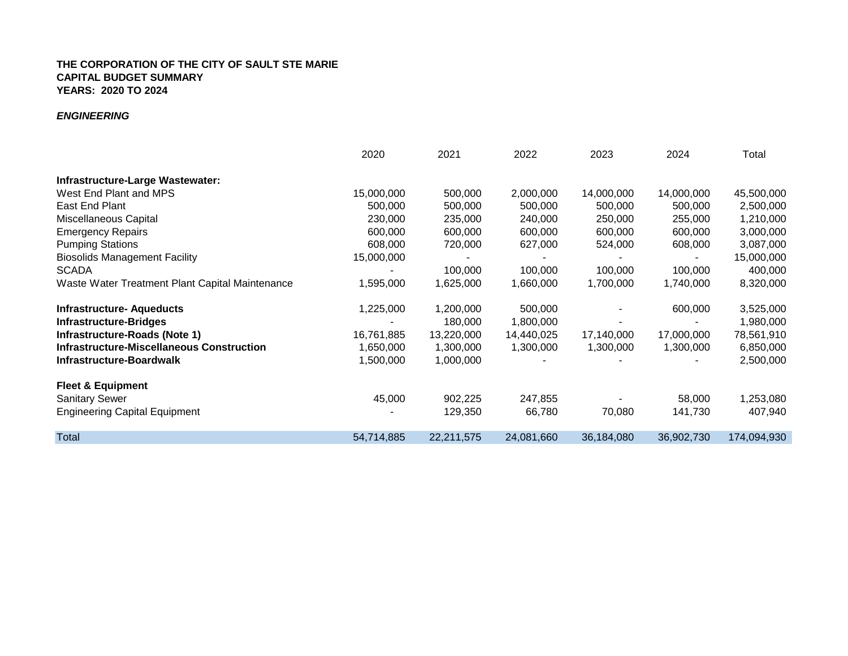## *ENGINEERING*

|                                                 | 2020       | 2021       | 2022       | 2023       | 2024           | Total       |
|-------------------------------------------------|------------|------------|------------|------------|----------------|-------------|
| Infrastructure-Large Wastewater:                |            |            |            |            |                |             |
| West End Plant and MPS                          | 15,000,000 | 500,000    | 2,000,000  | 14,000,000 | 14,000,000     | 45,500,000  |
| East End Plant                                  | 500,000    | 500,000    | 500,000    | 500,000    | 500,000        | 2,500,000   |
| Miscellaneous Capital                           | 230,000    | 235,000    | 240,000    | 250,000    | 255,000        | 1,210,000   |
| <b>Emergency Repairs</b>                        | 600,000    | 600,000    | 600,000    | 600,000    | 600,000        | 3,000,000   |
| <b>Pumping Stations</b>                         | 608,000    | 720,000    | 627,000    | 524,000    | 608,000        | 3,087,000   |
| <b>Biosolids Management Facility</b>            | 15,000,000 |            |            |            | $\blacksquare$ | 15,000,000  |
| <b>SCADA</b>                                    |            | 100,000    | 100,000    | 100,000    | 100,000        | 400,000     |
| Waste Water Treatment Plant Capital Maintenance | 1,595,000  | 1,625,000  | 1,660,000  | 1,700,000  | 1,740,000      | 8,320,000   |
| <b>Infrastructure- Aqueducts</b>                | 1,225,000  | 1,200,000  | 500,000    |            | 600,000        | 3,525,000   |
| <b>Infrastructure-Bridges</b>                   |            | 180,000    | 1,800,000  |            |                | 1,980,000   |
| Infrastructure-Roads (Note 1)                   | 16,761,885 | 13,220,000 | 14,440,025 | 17,140,000 | 17,000,000     | 78,561,910  |
| Infrastructure-Miscellaneous Construction       | 1,650,000  | 1,300,000  | 1,300,000  | 1,300,000  | 1,300,000      | 6,850,000   |
| Infrastructure-Boardwalk                        | 1,500,000  | 1,000,000  |            |            |                | 2,500,000   |
| <b>Fleet &amp; Equipment</b>                    |            |            |            |            |                |             |
| <b>Sanitary Sewer</b>                           | 45,000     | 902,225    | 247,855    |            | 58,000         | 1,253,080   |
| <b>Engineering Capital Equipment</b>            |            | 129,350    | 66,780     | 70,080     | 141,730        | 407,940     |
| Total                                           | 54,714,885 | 22,211,575 | 24,081,660 | 36,184,080 | 36,902,730     | 174,094,930 |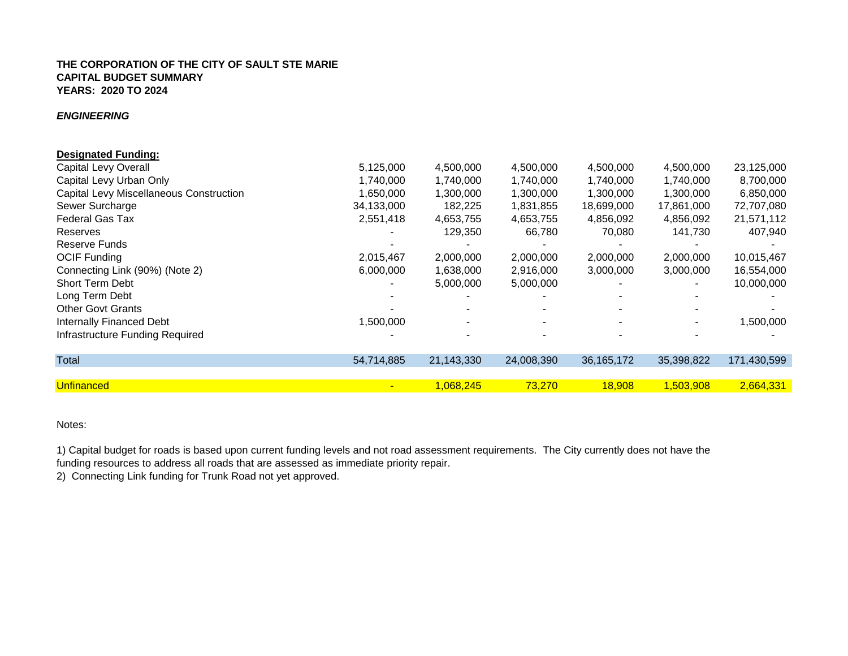## *ENGINEERING*

| <b>Designated Funding:</b>              |            |            |            |              |            |             |
|-----------------------------------------|------------|------------|------------|--------------|------------|-------------|
| Capital Levy Overall                    | 5,125,000  | 4,500,000  | 4,500,000  | 4,500,000    | 4,500,000  | 23,125,000  |
| Capital Levy Urban Only                 | 1,740,000  | 1,740,000  | 1,740,000  | 1,740,000    | 1,740,000  | 8,700,000   |
| Capital Levy Miscellaneous Construction | 1,650,000  | 1,300,000  | 1,300,000  | 1,300,000    | 1,300,000  | 6,850,000   |
| Sewer Surcharge                         | 34,133,000 | 182,225    | 1,831,855  | 18,699,000   | 17,861,000 | 72,707,080  |
| <b>Federal Gas Tax</b>                  | 2,551,418  | 4,653,755  | 4,653,755  | 4,856,092    | 4,856,092  | 21,571,112  |
| Reserves                                |            | 129,350    | 66,780     | 70,080       | 141,730    | 407,940     |
| Reserve Funds                           |            |            |            |              |            |             |
| <b>OCIF Funding</b>                     | 2,015,467  | 2,000,000  | 2,000,000  | 2,000,000    | 2,000,000  | 10,015,467  |
| Connecting Link (90%) (Note 2)          | 6,000,000  | 1,638,000  | 2,916,000  | 3,000,000    | 3,000,000  | 16,554,000  |
| <b>Short Term Debt</b>                  |            | 5,000,000  | 5,000,000  |              |            | 10,000,000  |
| Long Term Debt                          |            |            |            |              |            |             |
| <b>Other Govt Grants</b>                |            |            |            |              |            |             |
| <b>Internally Financed Debt</b>         | 1,500,000  |            |            |              |            | 1,500,000   |
| Infrastructure Funding Required         |            |            |            |              |            |             |
| Total                                   | 54,714,885 | 21,143,330 | 24,008,390 | 36, 165, 172 | 35,398,822 | 171,430,599 |
|                                         |            |            |            |              |            |             |
| <b>Unfinanced</b>                       |            | 1,068,245  | 73,270     | 18,908       | 1,503,908  | 2,664,331   |

# Notes:

1) Capital budget for roads is based upon current funding levels and not road assessment requirements. The City currently does not have the funding resources to address all roads that are assessed as immediate priority repair.

2) Connecting Link funding for Trunk Road not yet approved.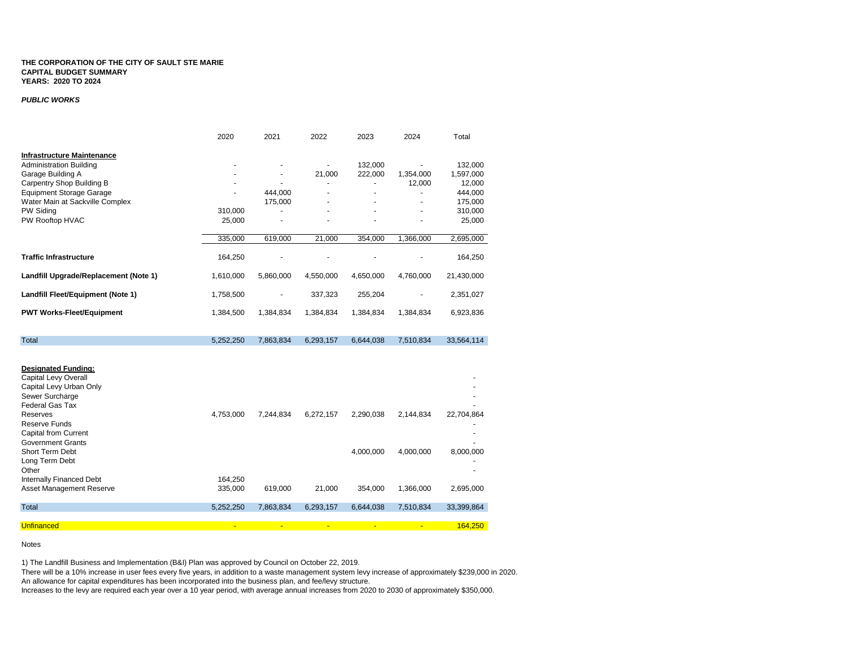#### *PUBLIC WORKS*

|                                       | 2020      | 2021           | 2022           | 2023           | 2024           | Total      |
|---------------------------------------|-----------|----------------|----------------|----------------|----------------|------------|
| <b>Infrastructure Maintenance</b>     |           |                |                |                |                |            |
| <b>Administration Building</b>        |           |                |                | 132,000        |                | 132,000    |
| Garage Building A                     |           |                | 21,000         | 222,000        | 1,354,000      | 1,597,000  |
| Carpentry Shop Building B             |           |                |                | $\blacksquare$ | 12,000         | 12,000     |
| <b>Equipment Storage Garage</b>       |           | 444.000        | ٠              | $\blacksquare$ |                | 444,000    |
| Water Main at Sackville Complex       |           | 175,000        |                |                |                | 175,000    |
| PW Siding                             | 310,000   |                |                |                |                | 310,000    |
| PW Rooftop HVAC                       | 25,000    |                |                |                |                | 25,000     |
|                                       | 335,000   | 619,000        | 21,000         | 354,000        | 1,366,000      | 2,695,000  |
| <b>Traffic Infrastructure</b>         | 164,250   |                |                |                |                | 164,250    |
| Landfill Upgrade/Replacement (Note 1) | 1,610,000 | 5,860,000      | 4,550,000      | 4,650,000      | 4,760,000      | 21,430,000 |
| Landfill Fleet/Equipment (Note 1)     | 1,758,500 |                | 337,323        | 255,204        |                | 2,351,027  |
| <b>PWT Works-Fleet/Equipment</b>      | 1,384,500 | 1,384,834      | 1,384,834      | 1,384,834      | 1,384,834      | 6,923,836  |
| Total                                 | 5,252,250 | 7,863,834      | 6,293,157      | 6,644,038      | 7,510,834      | 33,564,114 |
|                                       |           |                |                |                |                |            |
| <b>Designated Funding:</b>            |           |                |                |                |                |            |
| Capital Levy Overall                  |           |                |                |                |                |            |
| Capital Levy Urban Only               |           |                |                |                |                |            |
| Sewer Surcharge                       |           |                |                |                |                |            |
| Federal Gas Tax                       |           |                |                |                |                |            |
| <b>Reserves</b>                       | 4,753,000 | 7,244,834      | 6,272,157      | 2,290,038      | 2,144,834      | 22,704,864 |
| <b>Reserve Funds</b>                  |           |                |                |                |                |            |
| <b>Capital from Current</b>           |           |                |                |                |                |            |
| <b>Government Grants</b>              |           |                |                |                |                |            |
| Short Term Debt                       |           |                |                | 4,000,000      | 4,000,000      | 8,000,000  |
| Long Term Debt                        |           |                |                |                |                |            |
| Other                                 |           |                |                |                |                |            |
| <b>Internally Financed Debt</b>       | 164,250   |                |                |                |                |            |
| Asset Management Reserve              | 335,000   | 619,000        | 21,000         | 354,000        | 1,366,000      | 2,695,000  |
| Total                                 | 5,252,250 | 7,863,834      | 6,293,157      | 6,644,038      | 7,510,834      | 33,399,864 |
| <b>Unfinanced</b>                     | ٠         |                | $\blacksquare$ |                |                | 164.250    |
|                                       |           | $\blacksquare$ |                | $\blacksquare$ | $\blacksquare$ |            |

Notes

1) The Landfill Business and Implementation (B&I) Plan was approved by Council on October 22, 2019.

There will be a 10% increase in user fees every five years, in addition to a waste management system levy increase of approximately \$239,000 in 2020. An allowance for capital expenditures has been incorporated into the business plan, and fee/levy structure.

Increases to the levy are required each year over a 10 year period, with average annual increases from 2020 to 2030 of approximately \$350,000.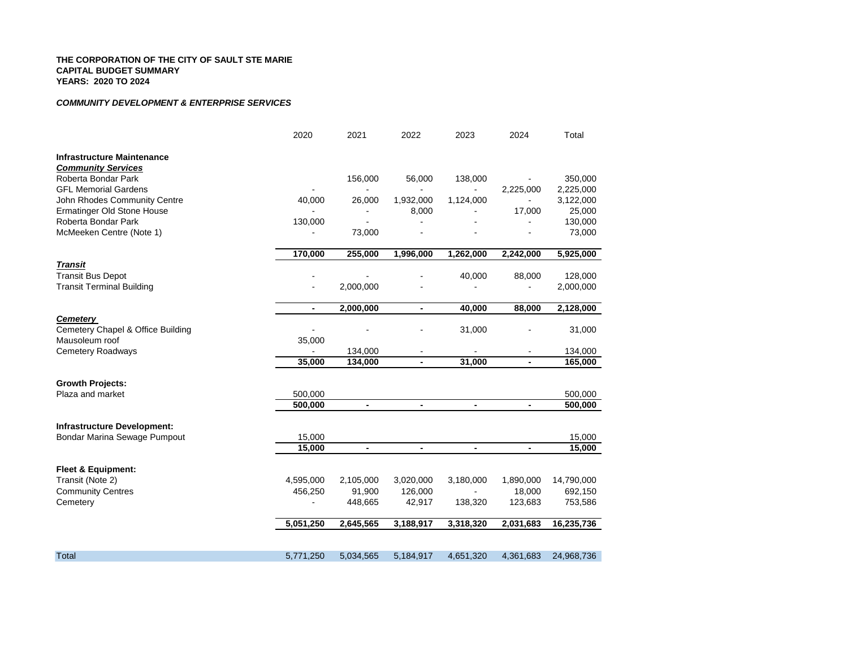### *COMMUNITY DEVELOPMENT & ENTERPRISE SERVICES*

|                                    | 2020           | 2021                     | 2022           | 2023                     | 2024           | Total      |
|------------------------------------|----------------|--------------------------|----------------|--------------------------|----------------|------------|
| <b>Infrastructure Maintenance</b>  |                |                          |                |                          |                |            |
| <b>Community Services</b>          |                |                          |                |                          |                |            |
| Roberta Bondar Park                |                | 156,000                  | 56,000         | 138,000                  |                | 350,000    |
| <b>GFL Memorial Gardens</b>        |                | $\blacksquare$           | $\blacksquare$ | $\blacksquare$           | 2,225,000      | 2,225,000  |
| John Rhodes Community Centre       | 40,000         | 26,000                   | 1,932,000      | 1,124,000                |                | 3,122,000  |
| Ermatinger Old Stone House         |                | ۰                        | 8,000          |                          | 17,000         | 25,000     |
| Roberta Bondar Park                | 130,000        |                          |                |                          |                | 130,000    |
| McMeeken Centre (Note 1)           |                | 73,000                   |                |                          |                | 73,000     |
|                                    | 170,000        | 255,000                  | 1,996,000      | 1,262,000                | 2,242,000      | 5,925,000  |
| <b>Transit</b>                     |                |                          |                |                          |                |            |
| <b>Transit Bus Depot</b>           |                |                          |                | 40,000                   | 88,000         | 128,000    |
| <b>Transit Terminal Building</b>   |                | 2,000,000                |                |                          |                | 2,000,000  |
|                                    | $\blacksquare$ | 2,000,000                | ۰              | 40,000                   | 88,000         | 2,128,000  |
| <b>Cemetery</b>                    |                |                          |                |                          |                |            |
| Cemetery Chapel & Office Building  |                |                          |                | 31,000                   |                | 31,000     |
| Mausoleum roof                     | 35,000         |                          |                |                          |                |            |
| <b>Cemetery Roadways</b>           |                | 134,000                  |                |                          |                | 134,000    |
|                                    | 35,000         | 134,000                  | $\blacksquare$ | 31,000                   | $\blacksquare$ | 165,000    |
| <b>Growth Projects:</b>            |                |                          |                |                          |                |            |
| Plaza and market                   | 500,000        |                          |                |                          |                | 500,000    |
|                                    | 500,000        | $\overline{\phantom{a}}$ | $\blacksquare$ | $\overline{\phantom{a}}$ |                | 500,000    |
| <b>Infrastructure Development:</b> |                |                          |                |                          |                |            |
| Bondar Marina Sewage Pumpout       | 15,000         |                          |                |                          |                | 15,000     |
|                                    | 15,000         | $\blacksquare$           | $\blacksquare$ | $\blacksquare$           | $\blacksquare$ | 15,000     |
| <b>Fleet &amp; Equipment:</b>      |                |                          |                |                          |                |            |
| Transit (Note 2)                   | 4,595,000      | 2,105,000                | 3,020,000      | 3,180,000                | 1,890,000      | 14,790,000 |
| <b>Community Centres</b>           | 456,250        | 91,900                   | 126,000        |                          | 18,000         | 692,150    |
| Cemetery                           |                | 448,665                  | 42,917         | 138,320                  | 123,683        | 753,586    |
|                                    | 5,051,250      | 2,645,565                | 3,188,917      | 3,318,320                | 2,031,683      | 16,235,736 |
|                                    |                |                          |                |                          |                |            |
| Total                              | 5,771,250      | 5,034,565                | 5,184,917      | 4,651,320                | 4,361,683      | 24,968,736 |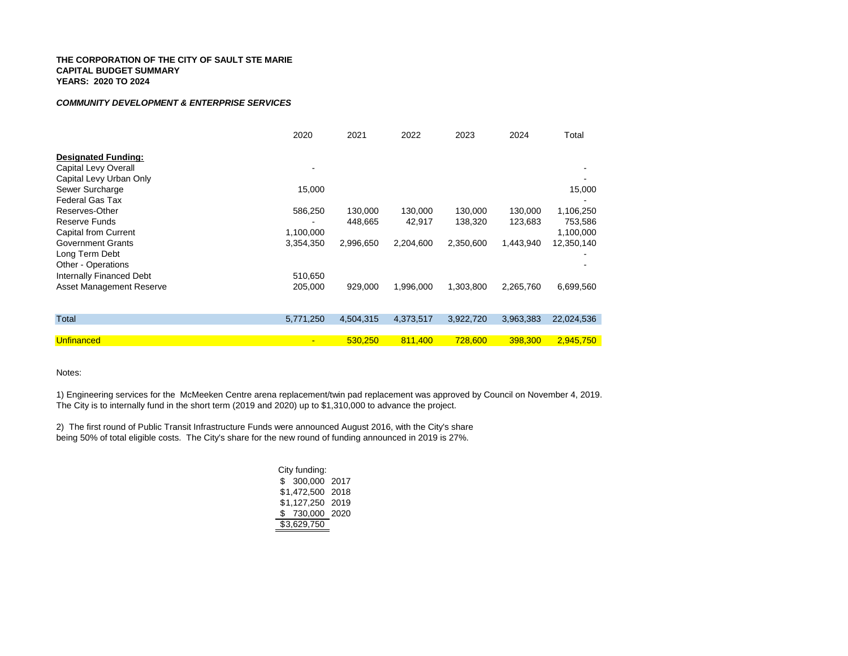#### *COMMUNITY DEVELOPMENT & ENTERPRISE SERVICES*

|                                 | 2020      | 2021      | 2022      | 2023      | 2024      | Total      |
|---------------------------------|-----------|-----------|-----------|-----------|-----------|------------|
| <b>Designated Funding:</b>      |           |           |           |           |           |            |
| Capital Levy Overall            |           |           |           |           |           |            |
| Capital Levy Urban Only         |           |           |           |           |           |            |
| Sewer Surcharge                 | 15,000    |           |           |           |           | 15,000     |
| <b>Federal Gas Tax</b>          |           |           |           |           |           |            |
| Reserves-Other                  | 586,250   | 130,000   | 130,000   | 130,000   | 130,000   | 1,106,250  |
| Reserve Funds                   |           | 448.665   | 42,917    | 138,320   | 123,683   | 753,586    |
| Capital from Current            | 1,100,000 |           |           |           |           | 1,100,000  |
| <b>Government Grants</b>        | 3,354,350 | 2,996,650 | 2,204,600 | 2,350,600 | 1,443,940 | 12,350,140 |
| Long Term Debt                  |           |           |           |           |           |            |
| Other - Operations              |           |           |           |           |           |            |
| Internally Financed Debt        | 510,650   |           |           |           |           |            |
| <b>Asset Management Reserve</b> | 205,000   | 929,000   | 1,996,000 | 1,303,800 | 2,265,760 | 6,699,560  |
|                                 |           |           |           |           |           |            |
|                                 |           |           |           |           |           |            |
| <b>Total</b>                    | 5,771,250 | 4,504,315 | 4,373,517 | 3,922,720 | 3,963,383 | 22,024,536 |
|                                 |           |           |           |           |           |            |
| Unfinanced                      |           | 530,250   | 811,400   | 728,600   | 398,300   | 2,945,750  |

Notes:

1) Engineering services for the McMeeken Centre arena replacement/twin pad replacement was approved by Council on November 4, 2019. The City is to internally fund in the short term (2019 and 2020) up to \$1,310,000 to advance the project.

2) The first round of Public Transit Infrastructure Funds were announced August 2016, with the City's share being 50% of total eligible costs. The City's share for the new round of funding announced in 2019 is 27%.

| City funding: |      |
|---------------|------|
| \$ 300,000    | 2017 |
| \$1,472,500   | 2018 |
| \$1.127.250   | 2019 |
| \$730,000     | 2020 |
| \$3,629,750   |      |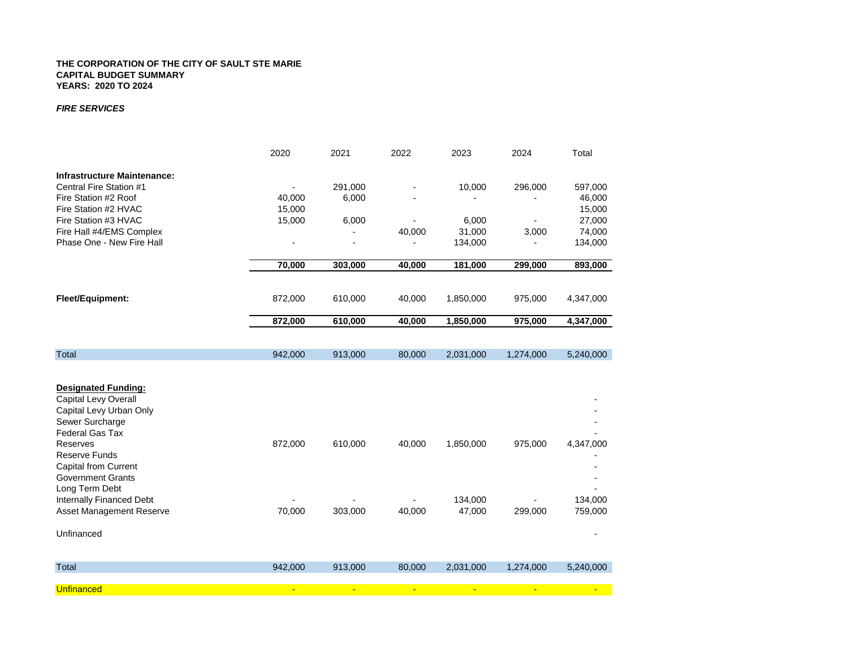#### *FIRE SERVICES*

|                                                                                                                                                                                                                                      | 2020           | 2021           | 2022           | 2023           | 2024      | Total     |
|--------------------------------------------------------------------------------------------------------------------------------------------------------------------------------------------------------------------------------------|----------------|----------------|----------------|----------------|-----------|-----------|
| <b>Infrastructure Maintenance:</b><br>Central Fire Station #1                                                                                                                                                                        |                | 291,000        |                | 10,000         | 296,000   | 597,000   |
| Fire Station #2 Roof                                                                                                                                                                                                                 | 40,000         | 6,000          |                |                |           | 46,000    |
| Fire Station #2 HVAC                                                                                                                                                                                                                 | 15,000         |                |                |                |           | 15,000    |
| Fire Station #3 HVAC                                                                                                                                                                                                                 | 15,000         | 6,000          |                | 6,000          |           | 27,000    |
| Fire Hall #4/EMS Complex                                                                                                                                                                                                             |                |                | 40,000         | 31,000         | 3,000     | 74,000    |
| Phase One - New Fire Hall                                                                                                                                                                                                            |                |                |                | 134,000        |           | 134,000   |
|                                                                                                                                                                                                                                      | 70,000         | 303,000        | 40,000         | 181,000        | 299,000   | 893,000   |
|                                                                                                                                                                                                                                      |                |                |                |                |           |           |
| <b>Fleet/Equipment:</b>                                                                                                                                                                                                              | 872,000        | 610,000        | 40,000         | 1,850,000      | 975,000   | 4,347,000 |
|                                                                                                                                                                                                                                      | 872,000        | 610,000        | 40,000         | 1,850,000      | 975,000   | 4,347,000 |
|                                                                                                                                                                                                                                      |                |                |                |                |           |           |
| Total                                                                                                                                                                                                                                | 942,000        | 913,000        | 80,000         | 2,031,000      | 1,274,000 | 5,240,000 |
| <b>Designated Funding:</b><br>Capital Levy Overall<br>Capital Levy Urban Only<br>Sewer Surcharge<br>Federal Gas Tax<br>Reserves<br><b>Reserve Funds</b><br><b>Capital from Current</b><br><b>Government Grants</b><br>Long Term Debt | 872,000        | 610,000        | 40,000         | 1,850,000      | 975,000   | 4,347,000 |
| Internally Financed Debt                                                                                                                                                                                                             |                |                |                | 134,000        |           | 134,000   |
| Asset Management Reserve                                                                                                                                                                                                             | 70,000         | 303,000        | 40,000         | 47,000         | 299,000   | 759,000   |
| Unfinanced                                                                                                                                                                                                                           |                |                |                |                |           |           |
| <b>Total</b>                                                                                                                                                                                                                         | 942,000        | 913,000        | 80,000         | 2,031,000      | 1,274,000 | 5,240,000 |
| <b>Unfinanced</b>                                                                                                                                                                                                                    | $\blacksquare$ | $\blacksquare$ | $\blacksquare$ | $\blacksquare$ |           |           |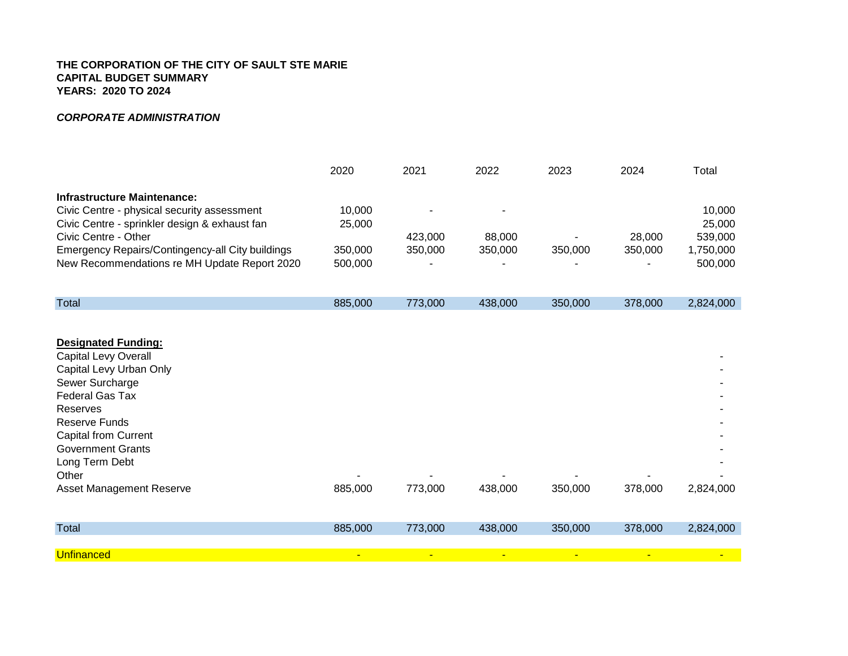# *CORPORATE ADMINISTRATION*

|                                                  | 2020    | 2021    | 2022    | 2023    | 2024    | Total     |
|--------------------------------------------------|---------|---------|---------|---------|---------|-----------|
| Infrastructure Maintenance:                      |         |         |         |         |         |           |
| Civic Centre - physical security assessment      | 10.000  |         | ۰       |         |         | 10.000    |
| Civic Centre - sprinkler design & exhaust fan    | 25,000  |         |         |         |         | 25,000    |
| Civic Centre - Other                             |         | 423,000 | 88.000  |         | 28,000  | 539,000   |
| Emergency Repairs/Contingency-all City buildings | 350.000 | 350,000 | 350,000 | 350,000 | 350,000 | 1.750.000 |
| New Recommendations re MH Update Report 2020     | 500,000 |         |         |         |         | 500.000   |

| Total | 885,000 | 773,000 | 438,000 | 350,000 | 378,000 | 2,824,000 |
|-------|---------|---------|---------|---------|---------|-----------|
|       |         |         |         |         |         |           |

| <b>Designated Funding:</b>  |                |              |              |                          |                |                |
|-----------------------------|----------------|--------------|--------------|--------------------------|----------------|----------------|
| <b>Capital Levy Overall</b> |                |              |              |                          |                |                |
| Capital Levy Urban Only     |                |              |              |                          |                |                |
| Sewer Surcharge             |                |              |              |                          |                |                |
| Federal Gas Tax             |                |              |              |                          |                |                |
| Reserves                    |                |              |              |                          |                |                |
| Reserve Funds               |                |              |              |                          |                |                |
| <b>Capital from Current</b> |                |              |              |                          |                |                |
| <b>Government Grants</b>    |                |              |              |                          |                |                |
| Long Term Debt              |                |              |              |                          |                |                |
| Other                       |                |              | -            | $\overline{\phantom{a}}$ |                |                |
| Asset Management Reserve    | 885,000        | 773,000      | 438,000      | 350,000                  | 378,000        | 2,824,000      |
|                             |                |              |              |                          |                |                |
| Total                       | 885,000        | 773,000      | 438,000      | 350,000                  | 378,000        | 2,824,000      |
|                             |                |              |              |                          |                |                |
| <b>Unfinanced</b>           | $\blacksquare$ | $\mathbf{u}$ | $\mathbf{u}$ | $\blacksquare$           | $\blacksquare$ | $\blacksquare$ |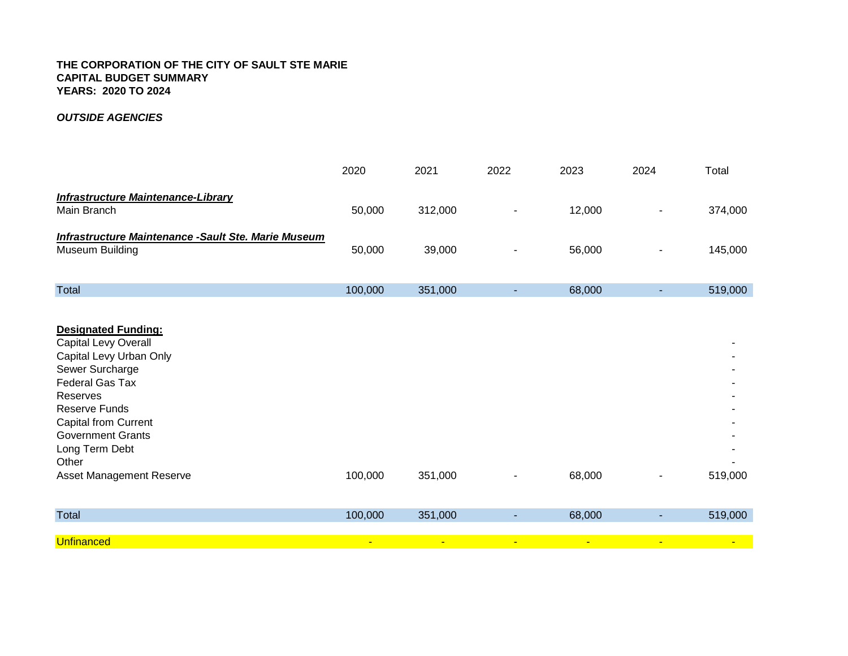# *OUTSIDE AGENCIES*

|                                                                               | 2020    | 2021    | 2022 | 2023   | 2024 | Total   |
|-------------------------------------------------------------------------------|---------|---------|------|--------|------|---------|
| <b>Infrastructure Maintenance-Library</b><br>Main Branch                      | 50,000  | 312,000 | ٠    | 12,000 | ۰    | 374,000 |
| Infrastructure Maintenance -Sault Ste. Marie Museum<br><b>Museum Building</b> | 50,000  | 39,000  | ٠    | 56,000 | ۰    | 145,000 |
| <b>Total</b>                                                                  | 100,000 | 351,000 | ٠    | 68,000 |      | 519,000 |

| <b>Designated Funding:</b><br><b>Capital Levy Overall</b><br>Capital Levy Urban Only<br>Sewer Surcharge<br>Federal Gas Tax<br>Reserves<br>Reserve Funds<br><b>Capital from Current</b><br><b>Government Grants</b><br>Long Term Debt<br>Other<br><b>Asset Management Reserve</b> | 100,000        | 351,000        | ۰ | 68,000         |                | 519,000                  |
|----------------------------------------------------------------------------------------------------------------------------------------------------------------------------------------------------------------------------------------------------------------------------------|----------------|----------------|---|----------------|----------------|--------------------------|
|                                                                                                                                                                                                                                                                                  |                |                |   |                |                |                          |
| Total                                                                                                                                                                                                                                                                            | 100,000        | 351,000        | ۰ | 68,000         |                | 519,000                  |
| <b>Unfinanced</b>                                                                                                                                                                                                                                                                | $\blacksquare$ | $\blacksquare$ | ÷ | $\blacksquare$ | $\blacksquare$ | $\overline{\phantom{a}}$ |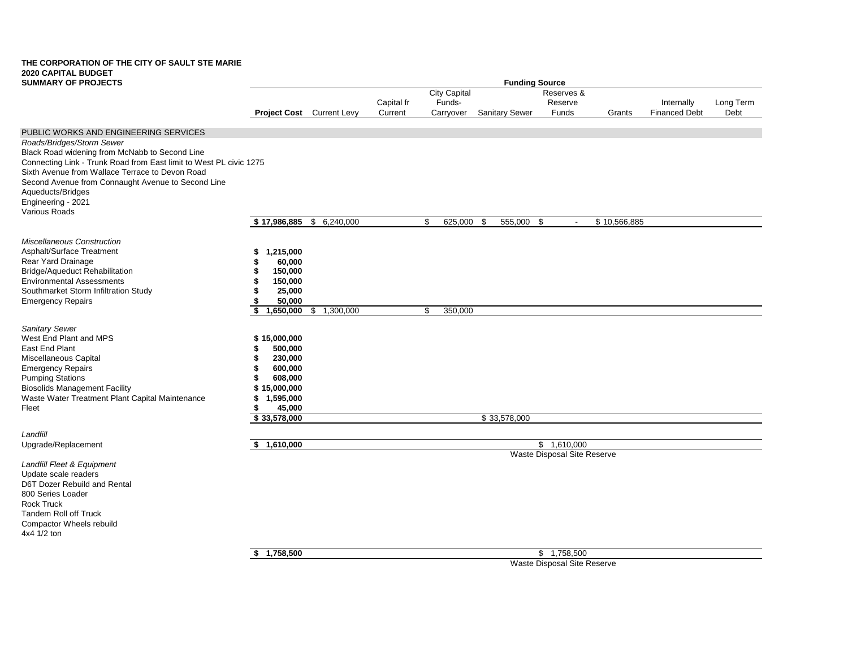| <b>SUMMARY OF PROJECTS</b>                                                              | <b>Funding Source</b>     |             |            |                     |                       |                             |              |                      |           |
|-----------------------------------------------------------------------------------------|---------------------------|-------------|------------|---------------------|-----------------------|-----------------------------|--------------|----------------------|-----------|
|                                                                                         |                           |             |            | <b>City Capital</b> |                       | Reserves &                  |              |                      |           |
|                                                                                         |                           |             | Capital fr | Funds-              |                       | Reserve                     |              | Internally           | Long Term |
|                                                                                         | Project Cost Current Levy |             | Current    | Carryover           | <b>Sanitary Sewer</b> | <b>Funds</b>                | Grants       | <b>Financed Debt</b> | Debt      |
| PUBLIC WORKS AND ENGINEERING SERVICES                                                   |                           |             |            |                     |                       |                             |              |                      |           |
| Roads/Bridges/Storm Sewer                                                               |                           |             |            |                     |                       |                             |              |                      |           |
| Black Road widening from McNabb to Second Line                                          |                           |             |            |                     |                       |                             |              |                      |           |
| Connecting Link - Trunk Road from East limit to West PL civic 1275                      |                           |             |            |                     |                       |                             |              |                      |           |
| Sixth Avenue from Wallace Terrace to Devon Road                                         |                           |             |            |                     |                       |                             |              |                      |           |
| Second Avenue from Connaught Avenue to Second Line                                      |                           |             |            |                     |                       |                             |              |                      |           |
| Aqueducts/Bridges<br>Engineering - 2021                                                 |                           |             |            |                     |                       |                             |              |                      |           |
| Various Roads                                                                           |                           |             |            |                     |                       |                             |              |                      |           |
|                                                                                         | \$17,986,885              | \$6,240,000 |            | \$<br>625,000       | 555,000<br>-\$        | -\$<br>$\sim$               | \$10,566,885 |                      |           |
| <b>Miscellaneous Construction</b>                                                       |                           |             |            |                     |                       |                             |              |                      |           |
| Asphalt/Surface Treatment                                                               | 1,215,000<br>S            |             |            |                     |                       |                             |              |                      |           |
| Rear Yard Drainage                                                                      | 60,000                    |             |            |                     |                       |                             |              |                      |           |
| Bridge/Aqueduct Rehabilitation                                                          | 150,000<br>S              |             |            |                     |                       |                             |              |                      |           |
| <b>Environmental Assessments</b>                                                        | 150,000                   |             |            |                     |                       |                             |              |                      |           |
| Southmarket Storm Infiltration Study                                                    | 25,000                    |             |            |                     |                       |                             |              |                      |           |
| <b>Emergency Repairs</b>                                                                | 50,000                    |             |            |                     |                       |                             |              |                      |           |
|                                                                                         | \$<br>1,650,000           | \$1,300,000 |            | \$<br>350,000       |                       |                             |              |                      |           |
| Sanitary Sewer                                                                          |                           |             |            |                     |                       |                             |              |                      |           |
| West End Plant and MPS                                                                  | \$15,000,000              |             |            |                     |                       |                             |              |                      |           |
| East End Plant                                                                          | 500,000                   |             |            |                     |                       |                             |              |                      |           |
| Miscellaneous Capital                                                                   | 230,000<br>\$             |             |            |                     |                       |                             |              |                      |           |
| <b>Emergency Repairs</b>                                                                | 600,000<br>S              |             |            |                     |                       |                             |              |                      |           |
| <b>Pumping Stations</b>                                                                 | 608,000<br>S              |             |            |                     |                       |                             |              |                      |           |
| <b>Biosolids Management Facility</b><br>Waste Water Treatment Plant Capital Maintenance | \$15,000,000<br>1,595,000 |             |            |                     |                       |                             |              |                      |           |
| Fleet                                                                                   | 45,000<br>\$              |             |            |                     |                       |                             |              |                      |           |
|                                                                                         | \$33,578,000              |             |            |                     | \$33,578,000          |                             |              |                      |           |
| Landfill                                                                                |                           |             |            |                     |                       |                             |              |                      |           |
| Upgrade/Replacement                                                                     | \$1,610,000               |             |            |                     |                       | \$1,610,000                 |              |                      |           |
|                                                                                         |                           |             |            |                     |                       | Waste Disposal Site Reserve |              |                      |           |
| Landfill Fleet & Equipment                                                              |                           |             |            |                     |                       |                             |              |                      |           |
| Update scale readers                                                                    |                           |             |            |                     |                       |                             |              |                      |           |
| D6T Dozer Rebuild and Rental                                                            |                           |             |            |                     |                       |                             |              |                      |           |
| 800 Series Loader<br><b>Rock Truck</b>                                                  |                           |             |            |                     |                       |                             |              |                      |           |
| <b>Tandem Roll off Truck</b>                                                            |                           |             |            |                     |                       |                             |              |                      |           |
| Compactor Wheels rebuild                                                                |                           |             |            |                     |                       |                             |              |                      |           |
| 4x4 1/2 ton                                                                             |                           |             |            |                     |                       |                             |              |                      |           |
|                                                                                         |                           |             |            |                     |                       |                             |              |                      |           |
|                                                                                         | \$1,758,500               |             |            |                     |                       | \$1,758,500                 |              |                      |           |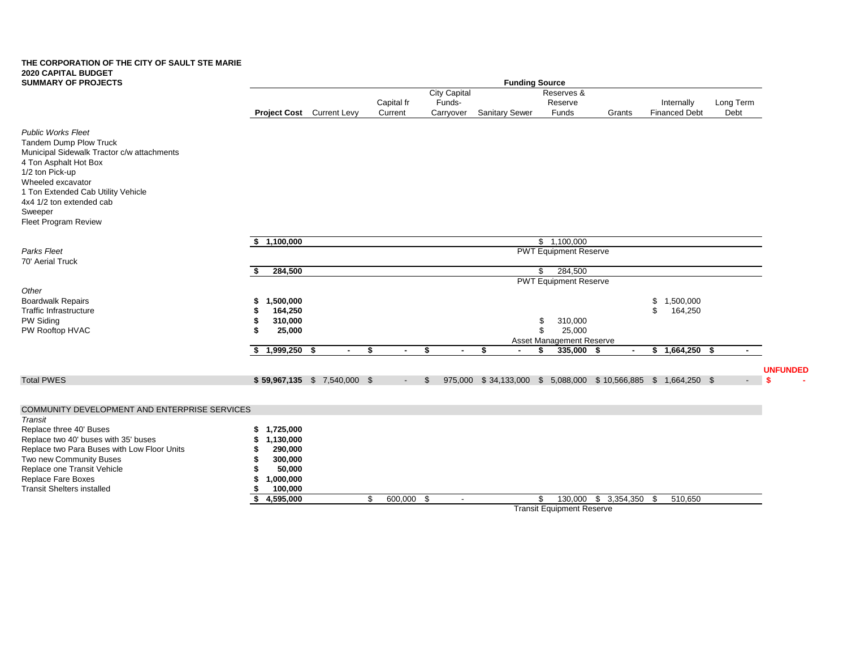| <b>SUMMARY OF PROJECTS</b>                             | <b>Funding Source</b> |                              |         |                |    |                     |                       |    |                                  |                                                              |    |                      |           |                 |
|--------------------------------------------------------|-----------------------|------------------------------|---------|----------------|----|---------------------|-----------------------|----|----------------------------------|--------------------------------------------------------------|----|----------------------|-----------|-----------------|
|                                                        |                       |                              |         |                |    | <b>City Capital</b> |                       |    | Reserves &                       |                                                              |    |                      |           |                 |
|                                                        |                       |                              |         | Capital fr     |    | Funds-              |                       |    | Reserve                          |                                                              |    | Internally           | Long Term |                 |
|                                                        |                       | Project Cost Current Levy    | Current |                |    | Carryover           | <b>Sanitary Sewer</b> |    | Funds                            | Grants                                                       |    | <b>Financed Debt</b> | Debt      |                 |
| <b>Public Works Fleet</b>                              |                       |                              |         |                |    |                     |                       |    |                                  |                                                              |    |                      |           |                 |
| <b>Tandem Dump Plow Truck</b>                          |                       |                              |         |                |    |                     |                       |    |                                  |                                                              |    |                      |           |                 |
| Municipal Sidewalk Tractor c/w attachments             |                       |                              |         |                |    |                     |                       |    |                                  |                                                              |    |                      |           |                 |
| 4 Ton Asphalt Hot Box                                  |                       |                              |         |                |    |                     |                       |    |                                  |                                                              |    |                      |           |                 |
| 1/2 ton Pick-up<br>Wheeled excavator                   |                       |                              |         |                |    |                     |                       |    |                                  |                                                              |    |                      |           |                 |
| 1 Ton Extended Cab Utility Vehicle                     |                       |                              |         |                |    |                     |                       |    |                                  |                                                              |    |                      |           |                 |
| 4x4 1/2 ton extended cab                               |                       |                              |         |                |    |                     |                       |    |                                  |                                                              |    |                      |           |                 |
| Sweeper                                                |                       |                              |         |                |    |                     |                       |    |                                  |                                                              |    |                      |           |                 |
| Fleet Program Review                                   |                       |                              |         |                |    |                     |                       |    |                                  |                                                              |    |                      |           |                 |
|                                                        | \$1,100,000           |                              |         |                |    |                     |                       |    | \$1,100,000                      |                                                              |    |                      |           |                 |
| Parks Fleet<br>70' Aerial Truck                        |                       |                              |         |                |    |                     |                       |    | <b>PWT Equipment Reserve</b>     |                                                              |    |                      |           |                 |
|                                                        | 284,500               |                              |         |                |    |                     |                       | \$ | 284,500                          |                                                              |    |                      |           |                 |
|                                                        |                       |                              |         |                |    |                     |                       |    | <b>PWT Equipment Reserve</b>     |                                                              |    |                      |           |                 |
| Other                                                  |                       |                              |         |                |    |                     |                       |    |                                  |                                                              |    |                      |           |                 |
| <b>Boardwalk Repairs</b>                               | 1,500,000             |                              |         |                |    |                     |                       |    |                                  |                                                              | \$ | 1,500,000            |           |                 |
| <b>Traffic Infrastructure</b><br>PW Siding             | 164,250<br>310,000    |                              |         |                |    |                     |                       | \$ | 310,000                          |                                                              | \$ | 164,250              |           |                 |
| PW Rooftop HVAC                                        | 25,000                |                              |         |                |    |                     |                       | \$ | 25,000                           |                                                              |    |                      |           |                 |
|                                                        |                       |                              |         |                |    |                     |                       |    | Asset Management Reserve         |                                                              |    |                      |           |                 |
|                                                        | $1,999,250$ \$        | $\sim$                       | \$      | $\blacksquare$ | \$ |                     | Ŝ.                    | \$ | 335,000                          | -\$                                                          |    | $$1,664,250$ \$      |           |                 |
|                                                        |                       |                              |         |                |    |                     |                       |    |                                  |                                                              |    |                      |           |                 |
|                                                        |                       |                              |         |                |    |                     |                       |    |                                  |                                                              |    |                      |           | <b>UNFUNDED</b> |
| <b>Total PWES</b>                                      |                       | $$59,967,135$ \$7,540,000 \$ |         |                | £. |                     |                       |    |                                  | 975,000 \$34,133,000 \$5,088,000 \$10,566,885 \$1,664,250 \$ |    |                      |           |                 |
|                                                        |                       |                              |         |                |    |                     |                       |    |                                  |                                                              |    |                      |           |                 |
| COMMUNITY DEVELOPMENT AND ENTERPRISE SERVICES          |                       |                              |         |                |    |                     |                       |    |                                  |                                                              |    |                      |           |                 |
| Transit                                                |                       |                              |         |                |    |                     |                       |    |                                  |                                                              |    |                      |           |                 |
| Replace three 40' Buses                                | 1,725,000<br>\$       |                              |         |                |    |                     |                       |    |                                  |                                                              |    |                      |           |                 |
| Replace two 40' buses with 35' buses                   | 1,130,000             |                              |         |                |    |                     |                       |    |                                  |                                                              |    |                      |           |                 |
| Replace two Para Buses with Low Floor Units            | 290,000               |                              |         |                |    |                     |                       |    |                                  |                                                              |    |                      |           |                 |
| Two new Community Buses<br>Replace one Transit Vehicle | 300,000<br>50,000     |                              |         |                |    |                     |                       |    |                                  |                                                              |    |                      |           |                 |
| Replace Fare Boxes                                     | 1,000,000             |                              |         |                |    |                     |                       |    |                                  |                                                              |    |                      |           |                 |
| <b>Transit Shelters installed</b>                      | 100,000               |                              |         |                |    |                     |                       |    |                                  |                                                              |    |                      |           |                 |
|                                                        | 4,595,000             |                              | \$      | $600,000$ \$   |    | $\sim$              |                       | \$ | 130,000                          | $$3,354,350$ \$                                              |    | 510,650              |           |                 |
|                                                        |                       |                              |         |                |    |                     |                       |    | <b>Transit Equipment Reserve</b> |                                                              |    |                      |           |                 |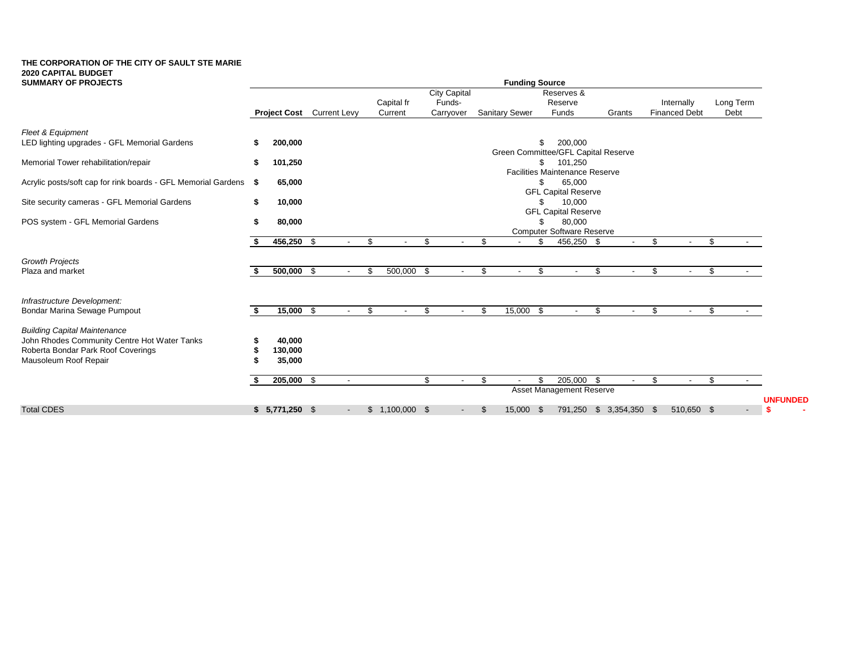| <b>SUMMARY OF PROJECTS</b>                                    |     |                                  |        |     |                          |                     |                          |    | <b>Funding Source</b> |      |                                                  |              |      |                          |              |                 |
|---------------------------------------------------------------|-----|----------------------------------|--------|-----|--------------------------|---------------------|--------------------------|----|-----------------------|------|--------------------------------------------------|--------------|------|--------------------------|--------------|-----------------|
|                                                               |     |                                  |        |     |                          | <b>City Capital</b> |                          |    |                       |      | Reserves &                                       |              |      |                          |              |                 |
|                                                               |     |                                  |        |     | Capital fr               | Funds-              |                          |    |                       |      | Reserve                                          |              |      | Internally               | Long Term    |                 |
|                                                               |     | <b>Project Cost</b> Current Levy |        |     | Current                  | Carryover           |                          |    | <b>Sanitary Sewer</b> |      | Funds                                            | Grants       |      | <b>Financed Debt</b>     | Debt         |                 |
| Fleet & Equipment                                             |     |                                  |        |     |                          |                     |                          |    |                       |      |                                                  |              |      |                          |              |                 |
| LED lighting upgrades - GFL Memorial Gardens                  |     | 200,000                          |        |     |                          |                     |                          |    |                       | \$.  | 200,000                                          |              |      |                          |              |                 |
|                                                               |     |                                  |        |     |                          |                     |                          |    |                       |      | Green Committee/GFL Capital Reserve              |              |      |                          |              |                 |
| Memorial Tower rehabilitation/repair                          |     | 101,250                          |        |     |                          |                     |                          |    |                       |      | 101,250<br><b>Facilities Maintenance Reserve</b> |              |      |                          |              |                 |
| Acrylic posts/soft cap for rink boards - GFL Memorial Gardens | - 5 | 65,000                           |        |     |                          |                     |                          |    |                       |      | 65,000                                           |              |      |                          |              |                 |
|                                                               |     |                                  |        |     |                          |                     |                          |    |                       |      | <b>GFL Capital Reserve</b>                       |              |      |                          |              |                 |
| Site security cameras - GFL Memorial Gardens                  | \$  | 10,000                           |        |     |                          |                     |                          |    |                       | \$   | 10,000                                           |              |      |                          |              |                 |
| POS system - GFL Memorial Gardens                             |     | 80,000                           |        |     |                          |                     |                          |    |                       |      | <b>GFL Capital Reserve</b><br>80,000             |              |      |                          |              |                 |
|                                                               |     |                                  |        |     |                          |                     |                          |    |                       |      | <b>Computer Software Reserve</b>                 |              |      |                          |              |                 |
|                                                               |     | 456,250 \$                       | $\sim$ | \$  | $\overline{\phantom{a}}$ | \$                  | $\overline{\phantom{a}}$ | \$ | $\sim$                | \$   | 456,250 \$                                       | $\sim$       | \$   | $\overline{\phantom{a}}$ | \$<br>$\sim$ |                 |
|                                                               |     |                                  |        |     |                          |                     |                          |    |                       |      |                                                  |              |      |                          |              |                 |
| <b>Growth Projects</b><br>Plaza and market                    |     | $500,000$ \$                     |        | \$  | 500,000 \$               |                     |                          | \$ |                       | \$   |                                                  | \$           | \$   |                          | \$           |                 |
|                                                               |     |                                  |        |     |                          |                     |                          |    |                       |      |                                                  |              |      |                          |              |                 |
| Infrastructure Development:                                   |     |                                  |        |     |                          |                     |                          |    |                       |      |                                                  |              |      |                          |              |                 |
| Bondar Marina Sewage Pumpout                                  |     | $15,000$ \$                      | $\sim$ | \$. | $\overline{\phantom{a}}$ | \$                  | $\sim$                   | -S | 15,000                | - \$ | $\overline{\phantom{a}}$                         | \$<br>$\sim$ | \$   | $\sim$                   | \$           |                 |
|                                                               |     |                                  |        |     |                          |                     |                          |    |                       |      |                                                  |              |      |                          |              |                 |
| <b>Building Capital Maintenance</b>                           |     |                                  |        |     |                          |                     |                          |    |                       |      |                                                  |              |      |                          |              |                 |
| John Rhodes Community Centre Hot Water Tanks                  |     | 40,000                           |        |     |                          |                     |                          |    |                       |      |                                                  |              |      |                          |              |                 |
| Roberta Bondar Park Roof Coverings                            |     | 130,000                          |        |     |                          |                     |                          |    |                       |      |                                                  |              |      |                          |              |                 |
| Mausoleum Roof Repair                                         |     | 35,000                           |        |     |                          |                     |                          |    |                       |      |                                                  |              |      |                          |              |                 |
|                                                               |     | 205,000 \$                       |        |     |                          | \$                  |                          | \$ |                       | ደ    | 205,000 \$                                       |              | \$   | $\overline{\phantom{a}}$ | \$           |                 |
|                                                               |     |                                  |        |     |                          |                     |                          |    |                       |      | Asset Management Reserve                         |              |      |                          |              |                 |
|                                                               |     |                                  |        |     |                          |                     |                          |    |                       |      |                                                  |              |      |                          |              | <b>UNFUNDED</b> |
| <b>Total CDES</b>                                             |     | $$5,771,250$ \$                  | $\sim$ |     | $$1,100,000$ \$          |                     | $\sim$                   | Ъ, | 15,000 \$             |      | 791,250                                          | \$3,354,350  | - \$ | 510,650 \$               | $\sim$       | -S              |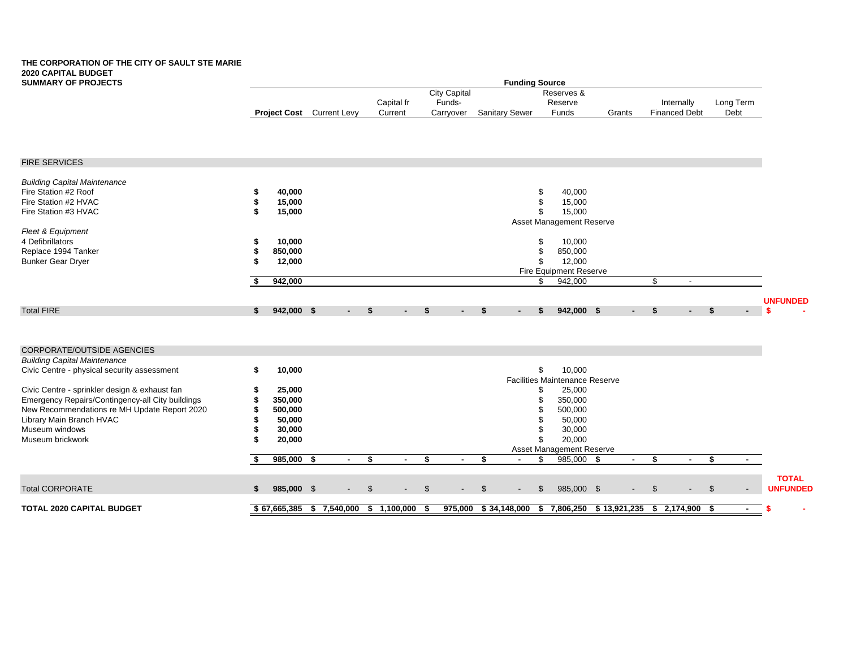| City Capital<br>Reserves &<br>Funds-<br>Long Term<br>Capital fr<br>Reserve<br>Internally<br>Project Cost Current Levy<br>Funds<br><b>Financed Debt</b><br>Debt<br>Current<br>Carryover<br><b>Sanitary Sewer</b><br>Grants<br><b>FIRE SERVICES</b><br><b>Building Capital Maintenance</b><br>Fire Station #2 Roof<br>40,000<br>40,000<br>\$<br>\$<br>Fire Station #2 HVAC<br>15,000<br>15,000<br>15,000<br>Fire Station #3 HVAC<br>15,000<br>\$<br>Asset Management Reserve<br>Fleet & Equipment<br>4 Defibrillators<br>10,000<br>10,000<br>\$<br>Replace 1994 Tanker<br>850,000<br>\$<br>850,000<br><b>Bunker Gear Dryer</b><br>12,000<br>12,000<br>\$<br>Fire Equipment Reserve<br>942,000<br>942,000<br>\$<br>\$<br>$\sim$<br><b>UNFUNDED</b><br><b>Total FIRE</b><br>942,000 \$<br>942,000 \$<br>\$<br>S.<br>- \$<br>S<br>S<br>S.<br>S<br>CORPORATE/OUTSIDE AGENCIES<br><b>Building Capital Maintenance</b><br>\$<br>10,000<br>Civic Centre - physical security assessment<br>10,000<br><b>Facilities Maintenance Reserve</b><br>25,000<br>Civic Centre - sprinkler design & exhaust fan<br>25,000<br>\$<br>Emergency Repairs/Contingency-all City buildings<br>\$<br>350,000<br>350,000<br>New Recommendations re MH Update Report 2020<br>500,000<br>500,000<br>\$<br>Library Main Branch HVAC<br>50,000<br>50,000<br>\$<br>Museum windows<br>30,000<br>30,000<br>20,000<br>Museum brickwork<br>20,000<br>Asset Management Reserve<br>$985,000$ \$<br>\$<br>\$<br>\$<br>S.<br>985,000<br>s.<br>\$<br>- \$<br>$\sim$<br>$\sim$<br>$\sim$<br>$\sim$<br>$\sim$<br>$\blacksquare$<br><b>TOTAL</b><br><b>Total CORPORATE</b><br>985,000 \$<br>985,000 \$<br><b>UNFUNDED</b><br>\$<br>\$.<br>\$<br>\$<br>-96<br>ß.<br><b>TOTAL 2020 CAPITAL BUDGET</b><br>$$67,665,385$ \$7,540,000 \$1,100,000 \$<br>975,000 \$34,148,000<br>\$ 7,806,250 \$ 13,921,235 \$ 2,174,900 \$<br>$\sim$ | <b>SUMMARY OF PROJECTS</b> |  |  |  |  | <b>Funding Source</b> |  |  |  |  |
|-----------------------------------------------------------------------------------------------------------------------------------------------------------------------------------------------------------------------------------------------------------------------------------------------------------------------------------------------------------------------------------------------------------------------------------------------------------------------------------------------------------------------------------------------------------------------------------------------------------------------------------------------------------------------------------------------------------------------------------------------------------------------------------------------------------------------------------------------------------------------------------------------------------------------------------------------------------------------------------------------------------------------------------------------------------------------------------------------------------------------------------------------------------------------------------------------------------------------------------------------------------------------------------------------------------------------------------------------------------------------------------------------------------------------------------------------------------------------------------------------------------------------------------------------------------------------------------------------------------------------------------------------------------------------------------------------------------------------------------------------------------------------------------------------------------------------------------------------------------------------------------|----------------------------|--|--|--|--|-----------------------|--|--|--|--|
|                                                                                                                                                                                                                                                                                                                                                                                                                                                                                                                                                                                                                                                                                                                                                                                                                                                                                                                                                                                                                                                                                                                                                                                                                                                                                                                                                                                                                                                                                                                                                                                                                                                                                                                                                                                                                                                                                   |                            |  |  |  |  |                       |  |  |  |  |
|                                                                                                                                                                                                                                                                                                                                                                                                                                                                                                                                                                                                                                                                                                                                                                                                                                                                                                                                                                                                                                                                                                                                                                                                                                                                                                                                                                                                                                                                                                                                                                                                                                                                                                                                                                                                                                                                                   |                            |  |  |  |  |                       |  |  |  |  |
|                                                                                                                                                                                                                                                                                                                                                                                                                                                                                                                                                                                                                                                                                                                                                                                                                                                                                                                                                                                                                                                                                                                                                                                                                                                                                                                                                                                                                                                                                                                                                                                                                                                                                                                                                                                                                                                                                   |                            |  |  |  |  |                       |  |  |  |  |
|                                                                                                                                                                                                                                                                                                                                                                                                                                                                                                                                                                                                                                                                                                                                                                                                                                                                                                                                                                                                                                                                                                                                                                                                                                                                                                                                                                                                                                                                                                                                                                                                                                                                                                                                                                                                                                                                                   |                            |  |  |  |  |                       |  |  |  |  |
|                                                                                                                                                                                                                                                                                                                                                                                                                                                                                                                                                                                                                                                                                                                                                                                                                                                                                                                                                                                                                                                                                                                                                                                                                                                                                                                                                                                                                                                                                                                                                                                                                                                                                                                                                                                                                                                                                   |                            |  |  |  |  |                       |  |  |  |  |
|                                                                                                                                                                                                                                                                                                                                                                                                                                                                                                                                                                                                                                                                                                                                                                                                                                                                                                                                                                                                                                                                                                                                                                                                                                                                                                                                                                                                                                                                                                                                                                                                                                                                                                                                                                                                                                                                                   |                            |  |  |  |  |                       |  |  |  |  |
|                                                                                                                                                                                                                                                                                                                                                                                                                                                                                                                                                                                                                                                                                                                                                                                                                                                                                                                                                                                                                                                                                                                                                                                                                                                                                                                                                                                                                                                                                                                                                                                                                                                                                                                                                                                                                                                                                   |                            |  |  |  |  |                       |  |  |  |  |
|                                                                                                                                                                                                                                                                                                                                                                                                                                                                                                                                                                                                                                                                                                                                                                                                                                                                                                                                                                                                                                                                                                                                                                                                                                                                                                                                                                                                                                                                                                                                                                                                                                                                                                                                                                                                                                                                                   |                            |  |  |  |  |                       |  |  |  |  |
|                                                                                                                                                                                                                                                                                                                                                                                                                                                                                                                                                                                                                                                                                                                                                                                                                                                                                                                                                                                                                                                                                                                                                                                                                                                                                                                                                                                                                                                                                                                                                                                                                                                                                                                                                                                                                                                                                   |                            |  |  |  |  |                       |  |  |  |  |
|                                                                                                                                                                                                                                                                                                                                                                                                                                                                                                                                                                                                                                                                                                                                                                                                                                                                                                                                                                                                                                                                                                                                                                                                                                                                                                                                                                                                                                                                                                                                                                                                                                                                                                                                                                                                                                                                                   |                            |  |  |  |  |                       |  |  |  |  |
|                                                                                                                                                                                                                                                                                                                                                                                                                                                                                                                                                                                                                                                                                                                                                                                                                                                                                                                                                                                                                                                                                                                                                                                                                                                                                                                                                                                                                                                                                                                                                                                                                                                                                                                                                                                                                                                                                   |                            |  |  |  |  |                       |  |  |  |  |
|                                                                                                                                                                                                                                                                                                                                                                                                                                                                                                                                                                                                                                                                                                                                                                                                                                                                                                                                                                                                                                                                                                                                                                                                                                                                                                                                                                                                                                                                                                                                                                                                                                                                                                                                                                                                                                                                                   |                            |  |  |  |  |                       |  |  |  |  |
|                                                                                                                                                                                                                                                                                                                                                                                                                                                                                                                                                                                                                                                                                                                                                                                                                                                                                                                                                                                                                                                                                                                                                                                                                                                                                                                                                                                                                                                                                                                                                                                                                                                                                                                                                                                                                                                                                   |                            |  |  |  |  |                       |  |  |  |  |
|                                                                                                                                                                                                                                                                                                                                                                                                                                                                                                                                                                                                                                                                                                                                                                                                                                                                                                                                                                                                                                                                                                                                                                                                                                                                                                                                                                                                                                                                                                                                                                                                                                                                                                                                                                                                                                                                                   |                            |  |  |  |  |                       |  |  |  |  |
|                                                                                                                                                                                                                                                                                                                                                                                                                                                                                                                                                                                                                                                                                                                                                                                                                                                                                                                                                                                                                                                                                                                                                                                                                                                                                                                                                                                                                                                                                                                                                                                                                                                                                                                                                                                                                                                                                   |                            |  |  |  |  |                       |  |  |  |  |
|                                                                                                                                                                                                                                                                                                                                                                                                                                                                                                                                                                                                                                                                                                                                                                                                                                                                                                                                                                                                                                                                                                                                                                                                                                                                                                                                                                                                                                                                                                                                                                                                                                                                                                                                                                                                                                                                                   |                            |  |  |  |  |                       |  |  |  |  |
|                                                                                                                                                                                                                                                                                                                                                                                                                                                                                                                                                                                                                                                                                                                                                                                                                                                                                                                                                                                                                                                                                                                                                                                                                                                                                                                                                                                                                                                                                                                                                                                                                                                                                                                                                                                                                                                                                   |                            |  |  |  |  |                       |  |  |  |  |
|                                                                                                                                                                                                                                                                                                                                                                                                                                                                                                                                                                                                                                                                                                                                                                                                                                                                                                                                                                                                                                                                                                                                                                                                                                                                                                                                                                                                                                                                                                                                                                                                                                                                                                                                                                                                                                                                                   |                            |  |  |  |  |                       |  |  |  |  |
|                                                                                                                                                                                                                                                                                                                                                                                                                                                                                                                                                                                                                                                                                                                                                                                                                                                                                                                                                                                                                                                                                                                                                                                                                                                                                                                                                                                                                                                                                                                                                                                                                                                                                                                                                                                                                                                                                   |                            |  |  |  |  |                       |  |  |  |  |
|                                                                                                                                                                                                                                                                                                                                                                                                                                                                                                                                                                                                                                                                                                                                                                                                                                                                                                                                                                                                                                                                                                                                                                                                                                                                                                                                                                                                                                                                                                                                                                                                                                                                                                                                                                                                                                                                                   |                            |  |  |  |  |                       |  |  |  |  |
|                                                                                                                                                                                                                                                                                                                                                                                                                                                                                                                                                                                                                                                                                                                                                                                                                                                                                                                                                                                                                                                                                                                                                                                                                                                                                                                                                                                                                                                                                                                                                                                                                                                                                                                                                                                                                                                                                   |                            |  |  |  |  |                       |  |  |  |  |
|                                                                                                                                                                                                                                                                                                                                                                                                                                                                                                                                                                                                                                                                                                                                                                                                                                                                                                                                                                                                                                                                                                                                                                                                                                                                                                                                                                                                                                                                                                                                                                                                                                                                                                                                                                                                                                                                                   |                            |  |  |  |  |                       |  |  |  |  |
|                                                                                                                                                                                                                                                                                                                                                                                                                                                                                                                                                                                                                                                                                                                                                                                                                                                                                                                                                                                                                                                                                                                                                                                                                                                                                                                                                                                                                                                                                                                                                                                                                                                                                                                                                                                                                                                                                   |                            |  |  |  |  |                       |  |  |  |  |
|                                                                                                                                                                                                                                                                                                                                                                                                                                                                                                                                                                                                                                                                                                                                                                                                                                                                                                                                                                                                                                                                                                                                                                                                                                                                                                                                                                                                                                                                                                                                                                                                                                                                                                                                                                                                                                                                                   |                            |  |  |  |  |                       |  |  |  |  |
|                                                                                                                                                                                                                                                                                                                                                                                                                                                                                                                                                                                                                                                                                                                                                                                                                                                                                                                                                                                                                                                                                                                                                                                                                                                                                                                                                                                                                                                                                                                                                                                                                                                                                                                                                                                                                                                                                   |                            |  |  |  |  |                       |  |  |  |  |
|                                                                                                                                                                                                                                                                                                                                                                                                                                                                                                                                                                                                                                                                                                                                                                                                                                                                                                                                                                                                                                                                                                                                                                                                                                                                                                                                                                                                                                                                                                                                                                                                                                                                                                                                                                                                                                                                                   |                            |  |  |  |  |                       |  |  |  |  |
|                                                                                                                                                                                                                                                                                                                                                                                                                                                                                                                                                                                                                                                                                                                                                                                                                                                                                                                                                                                                                                                                                                                                                                                                                                                                                                                                                                                                                                                                                                                                                                                                                                                                                                                                                                                                                                                                                   |                            |  |  |  |  |                       |  |  |  |  |
|                                                                                                                                                                                                                                                                                                                                                                                                                                                                                                                                                                                                                                                                                                                                                                                                                                                                                                                                                                                                                                                                                                                                                                                                                                                                                                                                                                                                                                                                                                                                                                                                                                                                                                                                                                                                                                                                                   |                            |  |  |  |  |                       |  |  |  |  |
|                                                                                                                                                                                                                                                                                                                                                                                                                                                                                                                                                                                                                                                                                                                                                                                                                                                                                                                                                                                                                                                                                                                                                                                                                                                                                                                                                                                                                                                                                                                                                                                                                                                                                                                                                                                                                                                                                   |                            |  |  |  |  |                       |  |  |  |  |
|                                                                                                                                                                                                                                                                                                                                                                                                                                                                                                                                                                                                                                                                                                                                                                                                                                                                                                                                                                                                                                                                                                                                                                                                                                                                                                                                                                                                                                                                                                                                                                                                                                                                                                                                                                                                                                                                                   |                            |  |  |  |  |                       |  |  |  |  |
|                                                                                                                                                                                                                                                                                                                                                                                                                                                                                                                                                                                                                                                                                                                                                                                                                                                                                                                                                                                                                                                                                                                                                                                                                                                                                                                                                                                                                                                                                                                                                                                                                                                                                                                                                                                                                                                                                   |                            |  |  |  |  |                       |  |  |  |  |
|                                                                                                                                                                                                                                                                                                                                                                                                                                                                                                                                                                                                                                                                                                                                                                                                                                                                                                                                                                                                                                                                                                                                                                                                                                                                                                                                                                                                                                                                                                                                                                                                                                                                                                                                                                                                                                                                                   |                            |  |  |  |  |                       |  |  |  |  |
|                                                                                                                                                                                                                                                                                                                                                                                                                                                                                                                                                                                                                                                                                                                                                                                                                                                                                                                                                                                                                                                                                                                                                                                                                                                                                                                                                                                                                                                                                                                                                                                                                                                                                                                                                                                                                                                                                   |                            |  |  |  |  |                       |  |  |  |  |
|                                                                                                                                                                                                                                                                                                                                                                                                                                                                                                                                                                                                                                                                                                                                                                                                                                                                                                                                                                                                                                                                                                                                                                                                                                                                                                                                                                                                                                                                                                                                                                                                                                                                                                                                                                                                                                                                                   |                            |  |  |  |  |                       |  |  |  |  |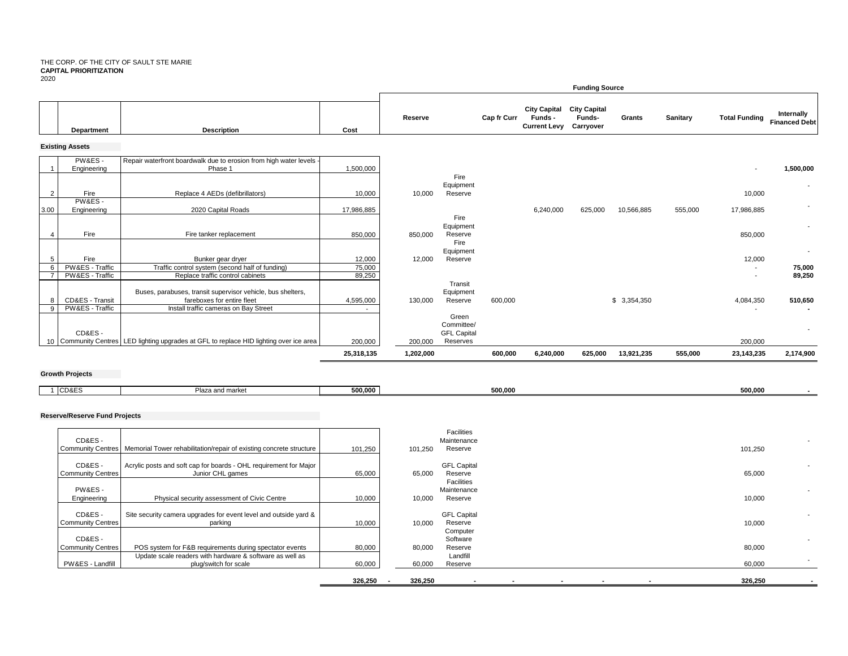#### THE CORP. OF THE CITY OF SAULT STE MARIE **CAPITAL PRIORITIZATION** 2020

| ----           |                                    |                                                                                           |                  |           |                                |             |                                                       | <b>Funding Source</b>                      |             |          |                          |                                    |
|----------------|------------------------------------|-------------------------------------------------------------------------------------------|------------------|-----------|--------------------------------|-------------|-------------------------------------------------------|--------------------------------------------|-------------|----------|--------------------------|------------------------------------|
|                | Department                         | <b>Description</b>                                                                        | Cost             | Reserve   |                                | Cap fr Curr | <b>City Capital</b><br>Funds -<br><b>Current Levy</b> | <b>City Capital</b><br>Funds-<br>Carryover | Grants      | Sanitary | <b>Total Funding</b>     | Internally<br><b>Financed Debt</b> |
|                | <b>Existing Assets</b>             |                                                                                           |                  |           |                                |             |                                                       |                                            |             |          |                          |                                    |
|                | PW&ES-<br>Engineering              | Repair waterfront boardwalk due to erosion from high water levels -<br>Phase 1            | 1,500,000        |           |                                |             |                                                       |                                            |             |          |                          | 1,500,000                          |
| $\overline{2}$ | Fire                               | Replace 4 AEDs (defibrillators)                                                           | 10,000           | 10,000    | Fire<br>Equipment<br>Reserve   |             |                                                       |                                            |             |          | 10,000                   |                                    |
| 3.00           | PW&ES-<br>Engineering              | 2020 Capital Roads                                                                        | 17,986,885       |           | Fire                           |             | 6,240,000                                             | 625,000                                    | 10,566,885  | 555,000  | 17,986,885               |                                    |
|                | Fire                               | Fire tanker replacement                                                                   | 850,000          | 850,000   | Equipment<br>Reserve           |             |                                                       |                                            |             |          | 850,000                  | $\sim$                             |
| 5              | Fire                               | Bunker gear dryer                                                                         | 12,000           | 12,000    | Fire<br>Equipment<br>Reserve   |             |                                                       |                                            |             |          | 12,000                   |                                    |
| 6              | PW&ES - Traffic<br>PW&ES - Traffic | Traffic control system (second half of funding)<br>Replace traffic control cabinets       | 75,000<br>89,250 |           | Transit                        |             |                                                       |                                            |             |          | $\overline{\phantom{a}}$ | 75,000<br>89,250                   |
| 8              | CD&ES - Transit                    | Buses, parabuses, transit supervisor vehicle, bus shelters,<br>fareboxes for entire fleet | 4,595,000        | 130,000   | Equipment<br>Reserve           | 600,000     |                                                       |                                            | \$3,354,350 |          | 4,084,350                | 510,650                            |
| 9              | PW&ES - Traffic                    | Install traffic cameras on Bay Street                                                     |                  |           | Green<br>Committee/            |             |                                                       |                                            |             |          |                          |                                    |
|                | CD&ES-                             | 10 Community Centres   LED lighting upgrades at GFL to replace HID lighting over ice area | 200,000          | 200,000   | <b>GFL Capital</b><br>Reserves |             |                                                       |                                            |             |          | 200,000                  |                                    |
|                |                                    |                                                                                           | 25,318,135       | 1,202,000 |                                | 600,000     | 6,240,000                                             | 625,000                                    | 13,921,235  | 555,000  | 23,143,235               | 2,174,900                          |

### **Growth Projects**

| CD&ES | Plaza a. | 500.000 | 500.000 | 500,000 |
|-------|----------|---------|---------|---------|
|       | d market |         |         |         |
|       |          |         |         |         |

#### **Reserve/Reserve Fund Projects**

| CD&ES-<br><b>Community Centres</b> | Memorial Tower rehabilitation/repair of existing concrete structure                   | 101,250 | 101,250 | Facilities<br>Maintenance<br>Reserve        |  |                          | 101,250                            |
|------------------------------------|---------------------------------------------------------------------------------------|---------|---------|---------------------------------------------|--|--------------------------|------------------------------------|
| CD&ES-<br><b>Community Centres</b> | Acrylic posts and soft cap for boards - OHL requirement for Major<br>Junior CHL games | 65,000  | 65,000  | <b>GFL Capital</b><br>Reserve<br>Facilities |  |                          | 65,000                             |
| PW&ES-<br>Engineering              | Physical security assessment of Civic Centre                                          | 10,000  | 10,000  | Maintenance<br>Reserve                      |  |                          | 10,000                             |
| CD&ES-<br><b>Community Centres</b> | Site security camera upgrades for event level and outside yard &<br>parking           | 10,000  | 10,000  | <b>GFL Capital</b><br>Reserve<br>Computer   |  |                          | 10,000                             |
| CD&ES-<br><b>Community Centres</b> | POS system for F&B requirements during spectator events                               | 80,000  | 80,000  | Software<br>Reserve                         |  |                          | $\overline{\phantom{a}}$<br>80,000 |
| PW&ES - Landfill                   | Update scale readers with hardware & software as well as<br>plug/switch for scale     | 60,000  | 60,000  | Landfill<br>Reserve                         |  |                          | 60,000                             |
|                                    |                                                                                       | 326,250 | 326,250 | $\overline{\phantom{a}}$                    |  | $\overline{\phantom{a}}$ | 326,250                            |